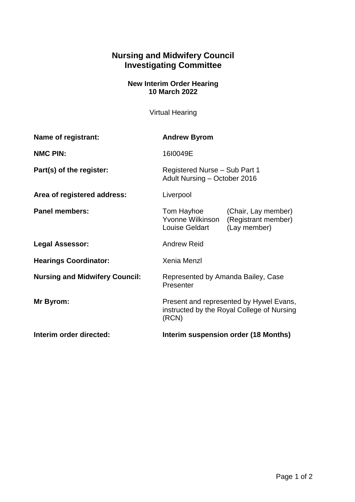## **Nursing and Midwifery Council Investigating Committee**

## **New Interim Order Hearing 10 March 2022**

Virtual Hearing

| Name of registrant:                   | <b>Andrew Byrom</b>                                                                                            |
|---------------------------------------|----------------------------------------------------------------------------------------------------------------|
| <b>NMC PIN:</b>                       | 1610049E                                                                                                       |
| Part(s) of the register:              | Registered Nurse - Sub Part 1<br>Adult Nursing - October 2016                                                  |
| Area of registered address:           | Liverpool                                                                                                      |
| <b>Panel members:</b>                 | Tom Hayhoe<br>(Chair, Lay member)<br>Yvonne Wilkinson<br>(Registrant member)<br>Louise Geldart<br>(Lay member) |
| Legal Assessor:                       | <b>Andrew Reid</b>                                                                                             |
| <b>Hearings Coordinator:</b>          | Xenia Menzl                                                                                                    |
| <b>Nursing and Midwifery Council:</b> | Represented by Amanda Bailey, Case<br>Presenter                                                                |
| Mr Byrom:                             | Present and represented by Hywel Evans,<br>instructed by the Royal College of Nursing<br>(RCN)                 |
| Interim order directed:               | Interim suspension order (18 Months)                                                                           |